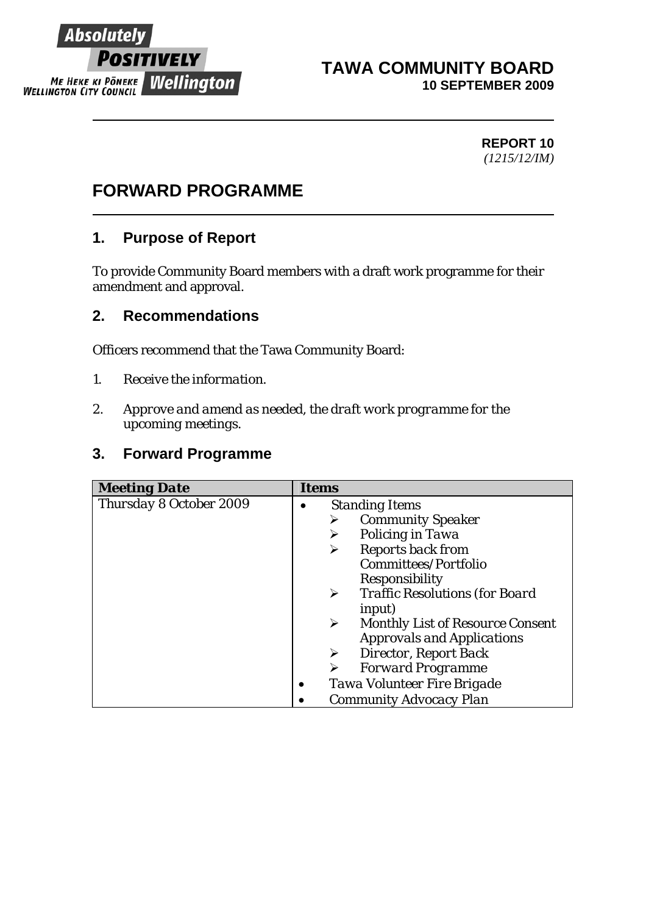

#### **TAWA COMMUNITY BOARD 10 SEPTEMBER 2009**

#### **REPORT 10**  *(1215/12/IM)*

# **FORWARD PROGRAMME**

## **1. Purpose of Report**

To provide Community Board members with a draft work programme for their amendment and approval.

### **2. Recommendations**

Officers recommend that the Tawa Community Board:

- *1. Receive the information.*
- *2. Approve and amend as needed, the draft work programme for the upcoming meetings.*

### **3. Forward Programme**

| <b>Meeting Date</b>     | <b>Items</b>                                                     |
|-------------------------|------------------------------------------------------------------|
| Thursday 8 October 2009 | <b>Standing Items</b>                                            |
|                         | <b>Community Speaker</b>                                         |
|                         | Policing in Tawa<br>➤                                            |
|                         | <b>Reports back from</b>                                         |
|                         | Committees/Portfolio                                             |
|                         | Responsibility                                                   |
|                         | <b>Traffic Resolutions (for Board</b><br>➤                       |
|                         | <i>input)</i>                                                    |
|                         | <b>Monthly List of Resource Consent</b><br>$\blacktriangleright$ |
|                         | <b>Approvals and Applications</b>                                |
|                         | <b>Director, Report Back</b><br>≻                                |
|                         | <b>Forward Programme</b>                                         |
|                         | Tawa Volunteer Fire Brigade<br>$\bullet$                         |
|                         | Community Advocacy Plan                                          |